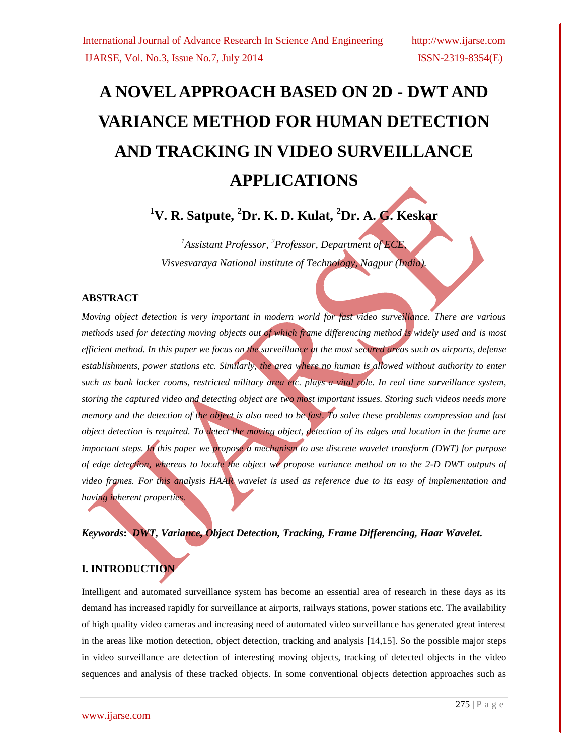# **A NOVEL APPROACH BASED ON 2D - DWT AND VARIANCE METHOD FOR HUMAN DETECTION AND TRACKING IN VIDEO SURVEILLANCE APPLICATIONS**

**<sup>1</sup>V. R. Satpute, <sup>2</sup>Dr. K. D. Kulat, <sup>2</sup>Dr. A. G. Keskar**

*<sup>1</sup>Assistant Professor, <sup>2</sup>Professor, Department of ECE, Visvesvaraya National institute of Technology, Nagpur (India).*

#### **ABSTRACT**

*Moving object detection is very important in modern world for fast video surveillance. There are various methods used for detecting moving objects out of which frame differencing method is widely used and is most efficient method. In this paper we focus on the surveillance at the most secured areas such as airports, defense establishments, power stations etc. Similarly, the area where no human is allowed without authority to enter such as bank locker rooms, restricted military area etc. plays a vital role. In real time surveillance system, storing the captured video and detecting object are two most important issues. Storing such videos needs more memory and the detection of the object is also need to be fast. To solve these problems compression and fast object detection is required. To detect the moving object, detection of its edges and location in the frame are important steps. In this paper we propose a mechanism to use discrete wavelet transform (DWT) for purpose of edge detection, whereas to locate the object we propose variance method on to the 2-D DWT outputs of video frames. For this analysis HAAR wavelet is used as reference due to its easy of implementation and having inherent properties.*

*Keywords***:** *DWT, Variance, Object Detection, Tracking, Frame Differencing, Haar Wavelet.*

### **I. INTRODUCTION**

Intelligent and automated surveillance system has become an essential area of research in these days as its demand has increased rapidly for surveillance at airports, railways stations, power stations etc. The availability of high quality video cameras and increasing need of automated video surveillance has generated great interest in the areas like motion detection, object detection, tracking and analysis [14,15]. So the possible major steps in video surveillance are detection of interesting moving objects, tracking of detected objects in the video sequences and analysis of these tracked objects. In some conventional objects detection approaches such as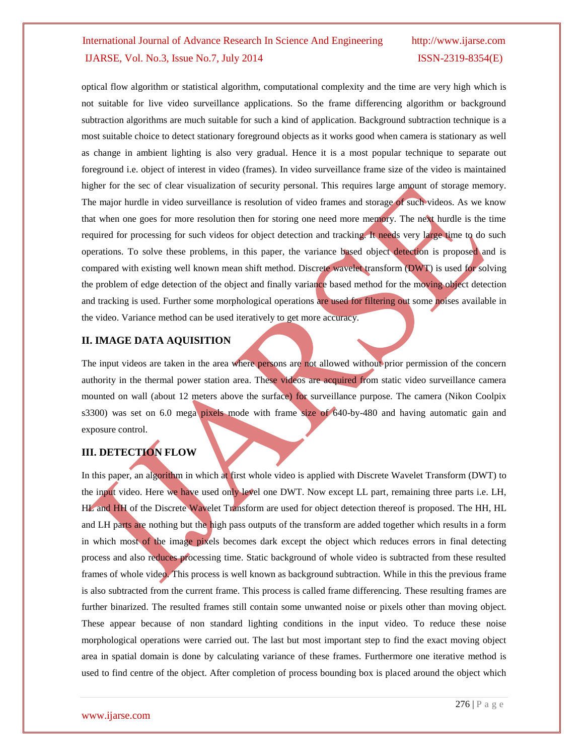optical flow algorithm or statistical algorithm, computational complexity and the time are very high which is not suitable for live video surveillance applications. So the frame differencing algorithm or background subtraction algorithms are much suitable for such a kind of application. Background subtraction technique is a most suitable choice to detect stationary foreground objects as it works good when camera is stationary as well as change in ambient lighting is also very gradual. Hence it is a most popular technique to separate out foreground i.e. object of interest in video (frames). In video surveillance frame size of the video is maintained higher for the sec of clear visualization of security personal. This requires large amount of storage memory. The major hurdle in video surveillance is resolution of video frames and storage of such videos. As we know that when one goes for more resolution then for storing one need more memory. The next hurdle is the time required for processing for such videos for object detection and tracking. It needs very large time to do such operations. To solve these problems, in this paper, the variance based object detection is proposed and is compared with existing well known mean shift method. Discrete wavelet transform (DWT) is used for solving the problem of edge detection of the object and finally variance based method for the moving object detection and tracking is used. Further some morphological operations are used for filtering out some noises available in the video. Variance method can be used iteratively to get more accuracy.

#### **II. IMAGE DATA AQUISITION**

The input videos are taken in the area where persons are not allowed without prior permission of the concern authority in the thermal power station area. These videos are acquired from static video surveillance camera mounted on wall (about 12 meters above the surface) for surveillance purpose. The camera (Nikon Coolpix s3300) was set on 6.0 mega pixels mode with frame size of 640-by-480 and having automatic gain and exposure control.

## **III. DETECTION FLOW**

In this paper, an algorithm in which at first whole video is applied with Discrete Wavelet Transform (DWT) to the input video. Here we have used only level one DWT. Now except LL part, remaining three parts i.e. LH, HL and HH of the Discrete Wavelet Transform are used for object detection thereof is proposed. The HH, HL and LH parts are nothing but the high pass outputs of the transform are added together which results in a form in which most of the image pixels becomes dark except the object which reduces errors in final detecting process and also reduces processing time. Static background of whole video is subtracted from these resulted frames of whole video. This process is well known as background subtraction. While in this the previous frame is also subtracted from the current frame. This process is called frame differencing. These resulting frames are further binarized. The resulted frames still contain some unwanted noise or pixels other than moving object. These appear because of non standard lighting conditions in the input video. To reduce these noise morphological operations were carried out. The last but most important step to find the exact moving object area in spatial domain is done by calculating variance of these frames. Furthermore one iterative method is used to find centre of the object. After completion of process bounding box is placed around the object which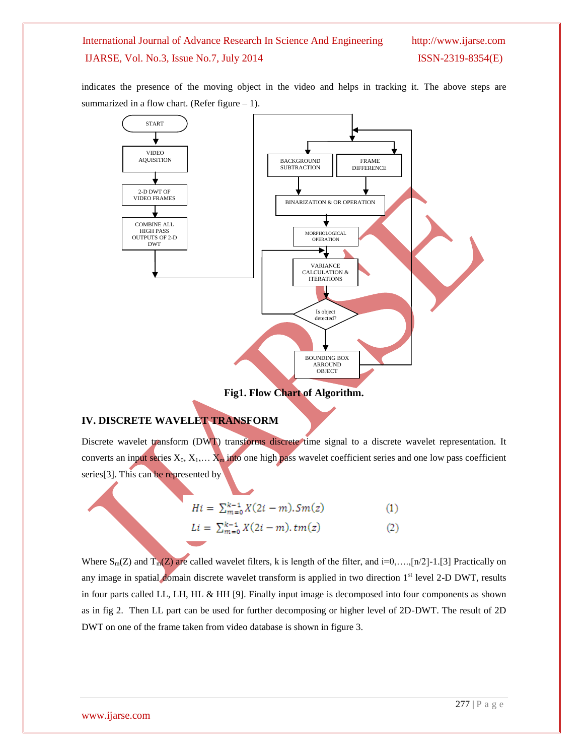indicates the presence of the moving object in the video and helps in tracking it. The above steps are summarized in a flow chart. (Refer figure  $-1$ ).



**Fig1. Flow Chart of Algorithm.**

#### **IV. DISCRETE WAVELET TRANSFORM**

Discrete wavelet transform (DWT) transforms discrete time signal to a discrete wavelet representation. It converts an input series  $X_0, X_1,... X_m$  into one high pass wavelet coefficient series and one low pass coefficient series<sup>[3]</sup>. This can be represented by

$$
Hi = \sum_{m=0}^{k-1} X(2i-m).Sm(z)
$$
 (1)

$$
Li = \sum_{m=0}^{k-1} X(2i-m), tm(z)
$$
 (2)

Where  $S_m(Z)$  and  $T_m(Z)$  are called wavelet filters, k is length of the filter, and i=0,...,[n/2]-1.[3] Practically on any image in spatial domain discrete wavelet transform is applied in two direction  $1<sup>st</sup>$  level 2-D DWT, results in four parts called LL, LH, HL & HH [9]. Finally input image is decomposed into four components as shown as in fig 2. Then LL part can be used for further decomposing or higher level of 2D-DWT. The result of 2D DWT on one of the frame taken from video database is shown in figure 3.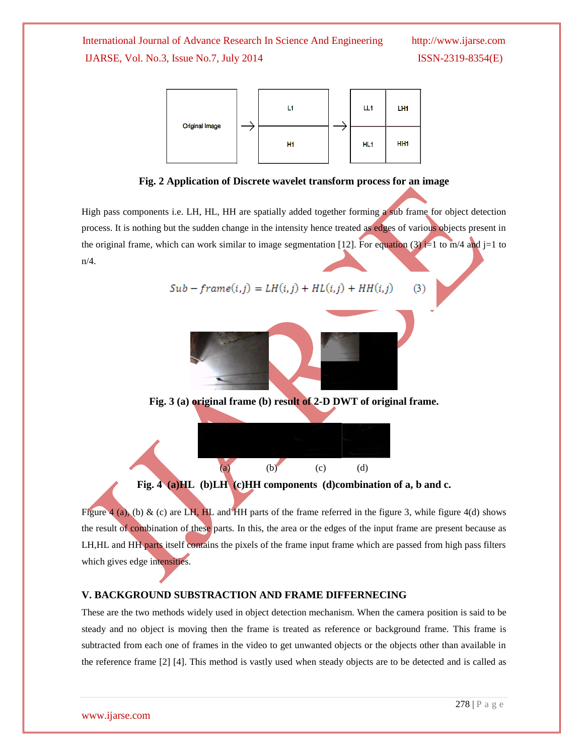(3)



**Fig. 2 Application of Discrete wavelet transform process for an image**

High pass components i.e. LH, HL, HH are spatially added together forming a sub frame for object detection process. It is nothing but the sudden change in the intensity hence treated as edges of various objects present in the original frame, which can work similar to image segmentation [12]. For equation (3) i=1 to m/4 and j=1 to n/4.

$$
Sub-frame(i,j) = LH(i,j) + HL(i,j) + HH(i,j)
$$



**Fig. 3 (a) original frame (b) result of 2-D DWT of original frame.**



**Fig. 4 (a)HL (b)LH (c)HH components (d)combination of a, b and c.**

Figure 4 (a), (b) & (c) are LH, HL and HH parts of the frame referred in the figure 3, while figure 4(d) shows the result of combination of these parts. In this, the area or the edges of the input frame are present because as LH,HL and HH parts itself contains the pixels of the frame input frame which are passed from high pass filters which gives edge intensities.

#### **V. BACKGROUND SUBSTRACTION AND FRAME DIFFERNECING**

These are the two methods widely used in object detection mechanism. When the camera position is said to be steady and no object is moving then the frame is treated as reference or background frame. This frame is subtracted from each one of frames in the video to get unwanted objects or the objects other than available in the reference frame [2] [4]. This method is vastly used when steady objects are to be detected and is called as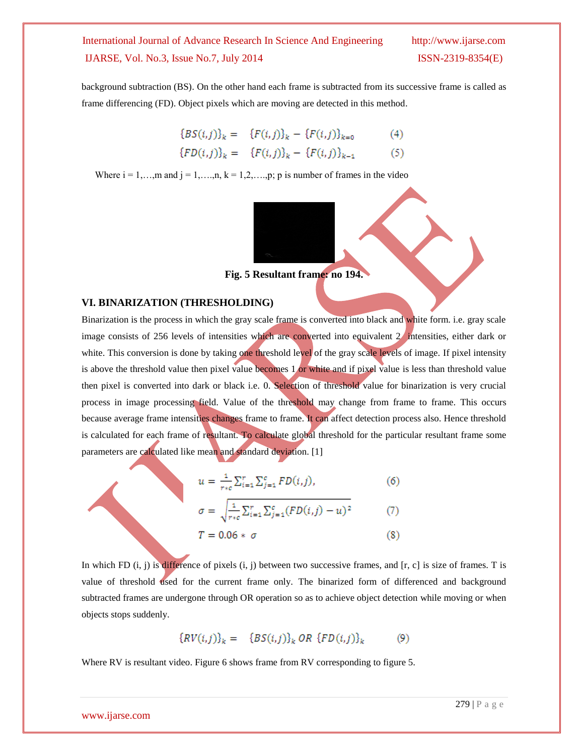background subtraction (BS). On the other hand each frame is subtracted from its successive frame is called as frame differencing (FD). Object pixels which are moving are detected in this method.

$$
{BS(i,j)}_k = {F(i,j)}_k - {F(i,j)}_{k=0}
$$
 (4)  

$$
{FD(i,j)}_k = {F(i,j)}_k - {F(i,j)}_{k-1}
$$
 (5)

Where  $i = 1, \ldots, m$  and  $j = 1, \ldots, n$ ,  $k = 1, 2, \ldots, p$ ; p is number of frames in the video



#### **VI. BINARIZATION (THRESHOLDING)**

Binarization is the process in which the gray scale frame is converted into black and white form. i.e. gray scale image consists of 256 levels of intensities which are converted into equivalent 2 intensities, either dark or white. This conversion is done by taking one threshold level of the gray scale levels of image. If pixel intensity is above the threshold value then pixel value becomes 1 or white and if pixel value is less than threshold value then pixel is converted into dark or black i.e. 0. Selection of threshold value for binarization is very crucial process in image processing field. Value of the threshold may change from frame to frame. This occurs because average frame intensities changes frame to frame. It can affect detection process also. Hence threshold is calculated for each frame of resultant. To calculate global threshold for the particular resultant frame some parameters are calculated like mean and standard deviation. [1]

$$
u = \frac{1}{r * c} \sum_{i=1}^{r} \sum_{j=1}^{c} FD(i,j), \tag{6}
$$

$$
\sigma = \sqrt{\frac{1}{r_{*c}} \sum_{i=1}^{r} \sum_{j=1}^{c} (FD(i,j) - u)^2}
$$
(7)

$$
T = 0.06 * \sigma \tag{8}
$$

In which FD  $(i, j)$  is difference of pixels  $(i, j)$  between two successive frames, and  $[r, c]$  is size of frames. T is value of threshold used for the current frame only. The binarized form of differenced and background subtracted frames are undergone through OR operation so as to achieve object detection while moving or when objects stops suddenly.

$$
{RV(i,j)}_k = {BS(i,j)}_k OR {FD(i,j)}_k
$$
 (9)

Where RV is resultant video. Figure 6 shows frame from RV corresponding to figure 5.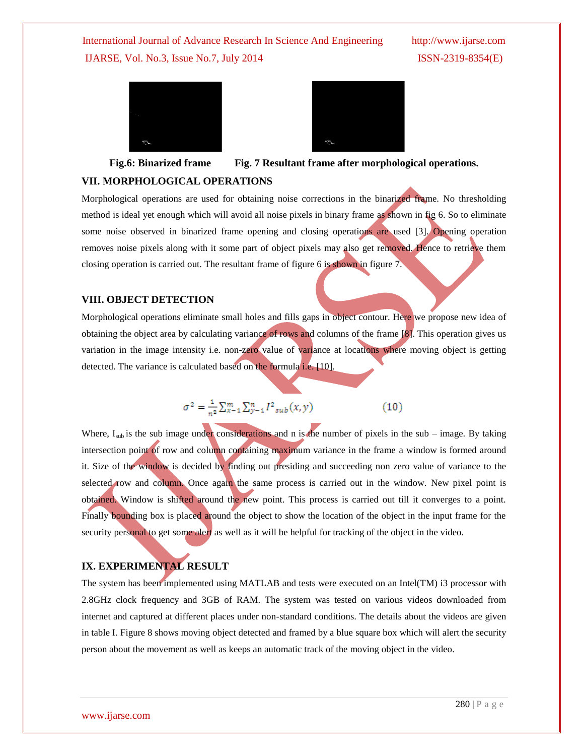



**Fig.6: Binarized frame Fig. 7 Resultant frame after morphological operations.**

#### **VII. MORPHOLOGICAL OPERATIONS**

Morphological operations are used for obtaining noise corrections in the binarized frame. No thresholding method is ideal yet enough which will avoid all noise pixels in binary frame as shown in fig 6. So to eliminate some noise observed in binarized frame opening and closing operations are used [3]. Opening operation removes noise pixels along with it some part of object pixels may also get removed. Hence to retrieve them closing operation is carried out. The resultant frame of figure 6 is shown in figure 7.

#### **VIII. OBJECT DETECTION**

Morphological operations eliminate small holes and fills gaps in object contour. Here we propose new idea of obtaining the object area by calculating variance of rows and columns of the frame [8]. This operation gives us variation in the image intensity i.e. non-zero value of variance at locations where moving object is getting detected. The variance is calculated based on the formula i.e. [10].

$$
\sigma^2 = \frac{1}{n^2} \sum_{k=1}^m \sum_{y=1}^n I_{sub}^2(x, y)
$$
 (10)

Where,  $I_{sub}$  is the sub image under considerations and n is the number of pixels in the sub – image. By taking intersection point of row and column containing maximum variance in the frame a window is formed around it. Size of the window is decided by finding out presiding and succeeding non zero value of variance to the selected row and column. Once again the same process is carried out in the window. New pixel point is obtained. Window is shifted around the new point. This process is carried out till it converges to a point. Finally bounding box is placed around the object to show the location of the object in the input frame for the security personal to get some alert as well as it will be helpful for tracking of the object in the video.

# **IX. EXPERIMENTAL RESULT**

The system has been implemented using MATLAB and tests were executed on an Intel(TM) i3 processor with 2.8GHz clock frequency and 3GB of RAM. The system was tested on various videos downloaded from internet and captured at different places under non-standard conditions. The details about the videos are given in table I. Figure 8 shows moving object detected and framed by a blue square box which will alert the security person about the movement as well as keeps an automatic track of the moving object in the video.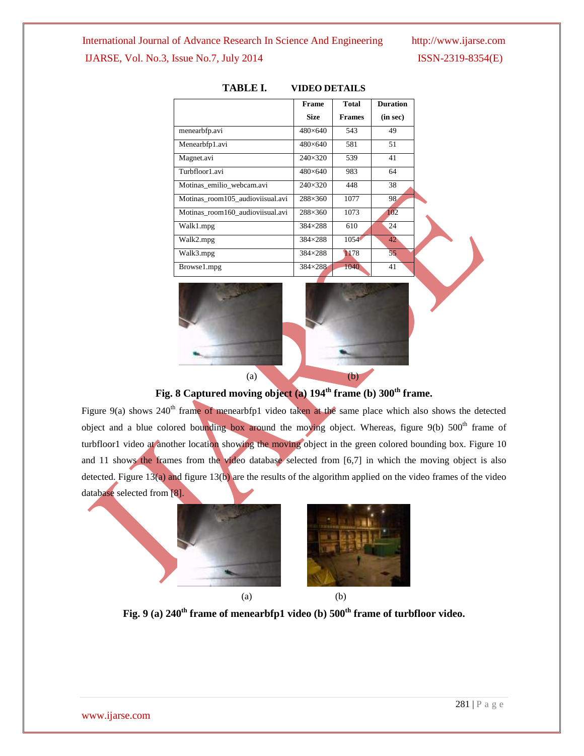#### International Journal of Advance Research In Science And Engineering http://www.ijarse.com

### IJARSE, Vol. No.3, Issue No.7, July 2014 ISSN-2319-8354(E)

|                                  | <b>Frame</b>     | <b>Total</b>  | <b>Duration</b> |
|----------------------------------|------------------|---------------|-----------------|
|                                  | <b>Size</b>      | <b>Frames</b> | (in sec)        |
| menearbfp.avi                    | $480\times 640$  | 543           | 49              |
| Menearbfp1.avi                   | 480×640          | 581           | 51              |
| Magnet.avi                       | $240 \times 320$ | 539           | 41              |
| Turbfloor1.avi                   | $480\times 640$  | 983           | 64              |
| Motinas emilio webcam.avi        | $240 \times 320$ | 448           | 38              |
| Motinas room105 audioviisual.avi | $288 \times 360$ | 1077          | 98              |
| Motinas_room160_audioviisual.avi | 288×360          | 1073          | 102             |
| Walk1.mpg                        | 384×288          | 610           | 24              |
| Walk2.mpg                        | 384×288          | 1054          | 42              |
| Walk3.mpg                        | 384×288          | 1178          | 55              |
| Browse1.mpg                      | 384×288          | 1040          | 41              |
|                                  |                  |               |                 |

#### **TABLE I. VIDEO DETAILS**



# **Fig. 8 Captured moving object (a) 194th frame (b) 300th frame.**

Figure 9(a) shows 240<sup>th</sup> frame of menearbfp1 video taken at the same place which also shows the detected object and a blue colored bounding box around the moving object. Whereas, figure 9(b) 500<sup>th</sup> frame of turbfloor1 video at another location showing the moving object in the green colored bounding box. Figure 10 and 11 shows the frames from the video database selected from [6,7] in which the moving object is also detected. Figure  $13(a)$  and figure  $13(b)$  are the results of the algorithm applied on the video frames of the video database selected from [8].



# **Fig. 9 (a) 240th frame of menearbfp1 video (b) 500th frame of turbfloor video.**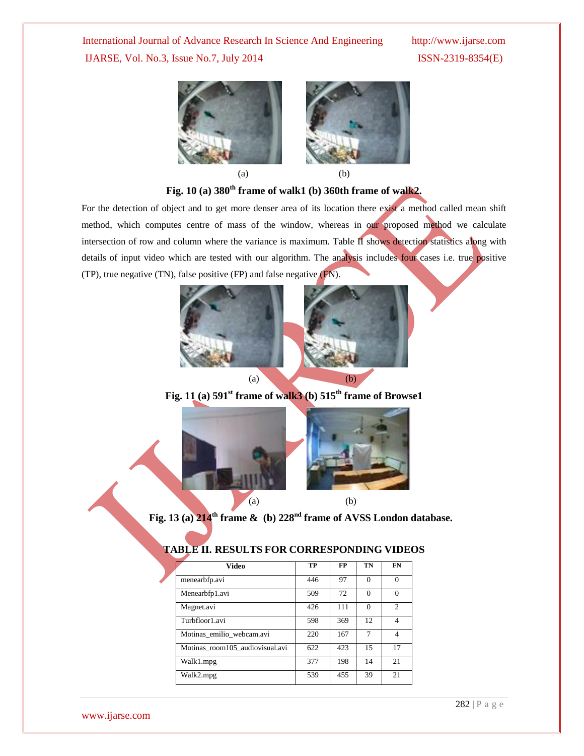



# **Fig. 10 (a) 380th frame of walk1 (b) 360th frame of walk2.**

For the detection of object and to get more denser area of its location there exist a method called mean shift method, which computes centre of mass of the window, whereas in our proposed method we calculate intersection of row and column where the variance is maximum. Table II shows detection statistics along with details of input video which are tested with our algorithm. The analysis includes four cases i.e. true positive (TP), true negative (TN), false positive (FP) and false negative (FN).



**Fig. 11** (a)  $591^{\text{st}}$  **frame of walk3** (b)  $515^{\text{th}}$  **frame of Browse1** 



**Fig. 13 (a) 214th frame & (b) 228nd frame of AVSS London database.**

| Video                           | TP  | FP  | TN       | FN             |
|---------------------------------|-----|-----|----------|----------------|
| menearbfp.avi                   | 446 | 97  | $\Omega$ | $\theta$       |
| Menearbfp1.avi                  | 509 | 72  | $\Omega$ | $\theta$       |
| Magnet.avi                      | 426 | 111 | $\Omega$ | $\overline{c}$ |
| Turbfloor1.avi                  | 598 | 369 | 12.      | 4              |
| Motinas emilio webcam.avi       | 220 | 167 |          | $\overline{4}$ |
| Motinas_room105_audiovisual.avi | 622 | 423 | 15       | 17             |
| Walk1.mpg                       | 377 | 198 | 14       | 21             |
| Walk2.mpg                       | 539 | 455 | 39       | 21             |

### **TABLE II. RESULTS FOR CORRESPONDING VIDEOS**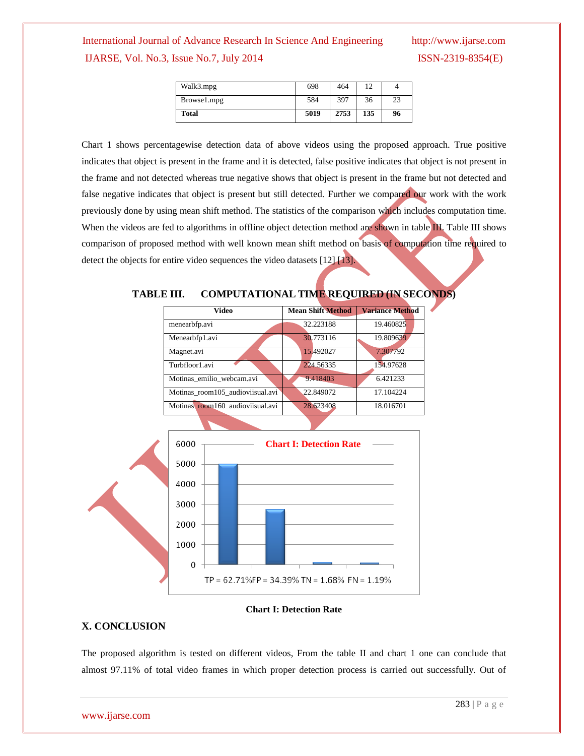| Walk3.mpg   | 698  | 464  |     |    |
|-------------|------|------|-----|----|
| Browse1.mpg | 584  | 397  | 36  | 23 |
| Total       | 5019 | 2753 | 135 | 96 |

Chart 1 shows percentagewise detection data of above videos using the proposed approach. True positive indicates that object is present in the frame and it is detected, false positive indicates that object is not present in the frame and not detected whereas true negative shows that object is present in the frame but not detected and false negative indicates that object is present but still detected. Further we compared our work with the work previously done by using mean shift method. The statistics of the comparison which includes computation time. When the videos are fed to algorithms in offline object detection method are shown in table III. Table III shows comparison of proposed method with well known mean shift method on basis of computation time required to detect the objects for entire video sequences the video datasets [12] [13].

#### **TABLE III. COMPUTATIONAL TIME REQUIRED (IN SECONDS)**

| Video                            | <b>Mean Shift Method</b> | <b>Variance Method</b> |
|----------------------------------|--------------------------|------------------------|
| menearbfp.avi                    | 32.223188                | 19.460825              |
| Menearbfp1.avi                   | 30.773116                | 19.809639              |
| Magnet.avi                       | 15.492027                | 7.307792               |
| Turbfloor1.avi                   | 224,56335                | 154.97628              |
| Motinas_emilio_webcam.avi        | 9.418403                 | 6.421233               |
| Motinas room105 audioviisual.avi | 22.849072                | 17.104224              |
| Motinas room160_audioviisual.avi | 28.623408                | 18.016701              |



#### **Chart I: Detection Rate**

#### **X. CONCLUSION**

The proposed algorithm is tested on different videos, From the table II and chart 1 one can conclude that almost 97.11% of total video frames in which proper detection process is carried out successfully. Out of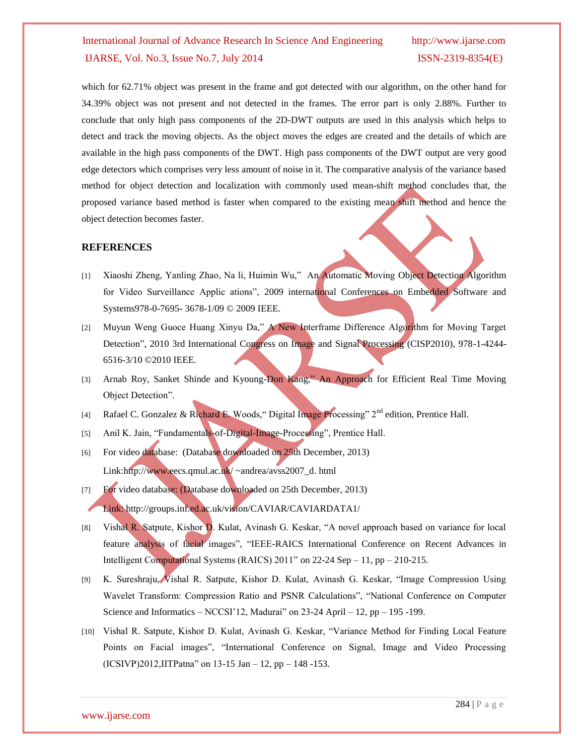which for 62.71% object was present in the frame and got detected with our algorithm, on the other hand for 34.39% object was not present and not detected in the frames. The error part is only 2.88%. Further to conclude that only high pass components of the 2D-DWT outputs are used in this analysis which helps to detect and track the moving objects. As the object moves the edges are created and the details of which are available in the high pass components of the DWT. High pass components of the DWT output are very good edge detectors which comprises very less amount of noise in it. The comparative analysis of the variance based method for object detection and localization with commonly used mean-shift method concludes that, the proposed variance based method is faster when compared to the existing mean shift method and hence the object detection becomes faster.

#### **REFERENCES**

- [1] Xiaoshi Zheng, Yanling Zhao, Na li, Huimin Wu," An Automatic Moving Object Detection Algorithm for Video Surveillance Applic ations", 2009 international Conferences on Embedded Software and Systems978-0-7695- 3678-1/09 © 2009 IEEE.
- [2] Muyun Weng Guoce Huang Xinyu Da," A New Interframe Difference Algorithm for Moving Target Detection", 2010 3rd International Congress on Image and Signal Processing (CISP2010), 978-1-4244- 6516-3/10 ©2010 IEEE.
- [3] Arnab Roy, Sanket Shinde and Kyoung-Don Kang," An Approach for Efficient Real Time Moving Object Detection".
- [4] Rafael C. Gonzalez & Richard E. Woods, "Digital Image Processing" 2<sup>nd</sup> edition, Prentice Hall.
- [5] Anil K. Jain, "Fundamentals-of-Digital-Image-Processing", Prentice Hall.
- [6] For video database: (Database downloaded on 25th December, 2013) Link:http://www.eecs.qmul.ac.uk/ ~andrea/avss2007\_d. html
- [7] For video database: (Database downloaded on 25th December, 2013) Link: http://groups.inf.ed.ac.uk/vision/CAVIAR/CAVIARDATA1/
- [8] Vishal R. Satpute, Kishor D. Kulat, Avinash G. Keskar, "A novel approach based on variance for local feature analysis of facial images", "IEEE-RAICS International Conference on Recent Advances in Intelligent Computational Systems (RAICS) 2011" on 22-24 Sep – 11, pp – 210-215.
- [9] K. Sureshraju, Vishal R. Satpute, Kishor D. Kulat, Avinash G. Keskar, "Image Compression Using Wavelet Transform: Compression Ratio and PSNR Calculations", "National Conference on Computer Science and Informatics – NCCSI'12, Madurai" on  $23-24$  April – 12, pp – 195 -199.
- [10] Vishal R. Satpute, Kishor D. Kulat, Avinash G. Keskar, "Variance Method for Finding Local Feature Points on Facial images", "International Conference on Signal, Image and Video Processing (ICSIVP)2012,IITPatna" on 13-15 Jan – 12, pp – 148 -153.